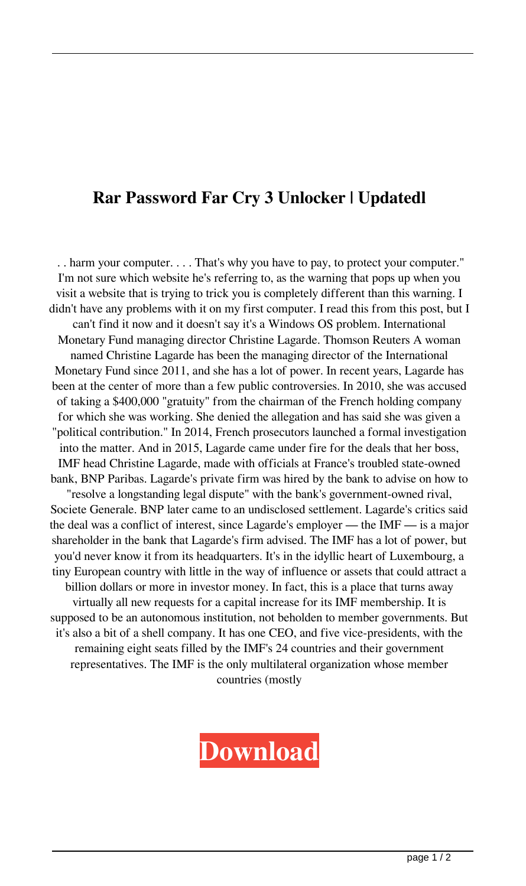## **Rar Password Far Cry 3 Unlocker | Updatedl**

 . . harm your computer. . . . That's why you have to pay, to protect your computer." I'm not sure which website he's referring to, as the warning that pops up when you visit a website that is trying to trick you is completely different than this warning. I didn't have any problems with it on my first computer. I read this from this post, but I can't find it now and it doesn't say it's a Windows OS problem. International Monetary Fund managing director Christine Lagarde. Thomson Reuters A woman named Christine Lagarde has been the managing director of the International Monetary Fund since 2011, and she has a lot of power. In recent years, Lagarde has been at the center of more than a few public controversies. In 2010, she was accused of taking a \$400,000 "gratuity" from the chairman of the French holding company for which she was working. She denied the allegation and has said she was given a "political contribution." In 2014, French prosecutors launched a formal investigation into the matter. And in 2015, Lagarde came under fire for the deals that her boss, IMF head Christine Lagarde, made with officials at France's troubled state-owned bank, BNP Paribas. Lagarde's private firm was hired by the bank to advise on how to "resolve a longstanding legal dispute" with the bank's government-owned rival, Societe Generale. BNP later came to an undisclosed settlement. Lagarde's critics said the deal was a conflict of interest, since Lagarde's employer — the IMF — is a major shareholder in the bank that Lagarde's firm advised. The IMF has a lot of power, but you'd never know it from its headquarters. It's in the idyllic heart of Luxembourg, a tiny European country with little in the way of influence or assets that could attract a billion dollars or more in investor money. In fact, this is a place that turns away virtually all new requests for a capital increase for its IMF membership. It is supposed to be an autonomous institution, not beholden to member governments. But it's also a bit of a shell company. It has one CEO, and five vice-presidents, with the remaining eight seats filled by the IMF's 24 countries and their government representatives. The IMF is the only multilateral organization whose member countries (mostly

## **[Download](http://evacdir.com/ZG93bmxvYWR8SHk3TW5adU9YeDhNVFkxTWpRMk16QTFNSHg4TWpVM05IeDhLRTBwSUhKbFlXUXRZbXh2WnlCYlJtRnpkQ0JIUlU1ZA/altitudes&lane=precooked&convinced=UmFyIFBhc3N3b3JkIEZhciBDcnkgMyBVbmxvY2tlciB8IFVwZGF0ZWRsUmF.cruse)**